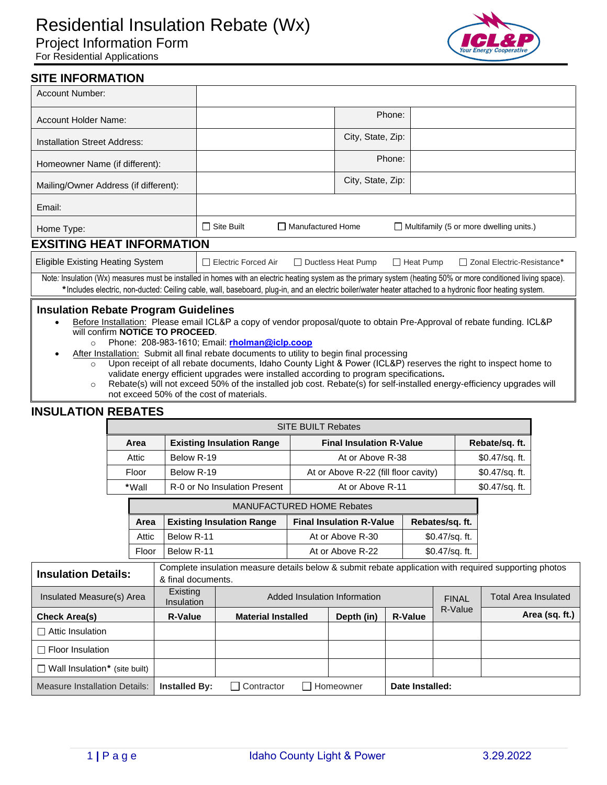# Residential Insulation Rebate (Wx) Project Information Form

For Residential Applications



## **SITE INFORMATION**

| Account Number:                                                                                                                                                                                                                                                                                                                                                                                                                                                                                                     |                                                                                                             |                   |  |  |  |
|---------------------------------------------------------------------------------------------------------------------------------------------------------------------------------------------------------------------------------------------------------------------------------------------------------------------------------------------------------------------------------------------------------------------------------------------------------------------------------------------------------------------|-------------------------------------------------------------------------------------------------------------|-------------------|--|--|--|
| Account Holder Name:                                                                                                                                                                                                                                                                                                                                                                                                                                                                                                |                                                                                                             | Phone:            |  |  |  |
| <b>Installation Street Address:</b>                                                                                                                                                                                                                                                                                                                                                                                                                                                                                 |                                                                                                             | City, State, Zip: |  |  |  |
| Homeowner Name (if different):                                                                                                                                                                                                                                                                                                                                                                                                                                                                                      |                                                                                                             | Phone:            |  |  |  |
| Mailing/Owner Address (if different):                                                                                                                                                                                                                                                                                                                                                                                                                                                                               |                                                                                                             | City, State, Zip: |  |  |  |
| Email:                                                                                                                                                                                                                                                                                                                                                                                                                                                                                                              |                                                                                                             |                   |  |  |  |
| Home Type:                                                                                                                                                                                                                                                                                                                                                                                                                                                                                                          | $\Box$ Site Built<br>□ Manufactured Home<br>$\Box$ Multifamily (5 or more dwelling units.)                  |                   |  |  |  |
| <b>EXSITING HEAT INFORMATION</b>                                                                                                                                                                                                                                                                                                                                                                                                                                                                                    |                                                                                                             |                   |  |  |  |
| <b>Eligible Existing Heating System</b>                                                                                                                                                                                                                                                                                                                                                                                                                                                                             | $\Box$ Electric Forced Air<br>$\Box$ Ductless Heat Pump<br>$\Box$ Heat Pump<br>□ Zonal Electric-Resistance* |                   |  |  |  |
| Note: Insulation (Wx) measures must be installed in homes with an electric heating system as the primary system (heating 50% or more conditioned living space).<br>*Includes electric, non-ducted: Ceiling cable, wall, baseboard, plug-in, and an electric boiler/water heater attached to a hydronic floor heating system.                                                                                                                                                                                        |                                                                                                             |                   |  |  |  |
| <b>Insulation Rebate Program Guidelines</b><br>Before Installation: Please email ICL&P a copy of vendor proposal/quote to obtain Pre-Approval of rebate funding. ICL&P<br>$\bullet$<br>will confirm <b>NOTICE TO PROCEED.</b><br>Phone: 208-983-1610; Email: rholman@iclp.coop<br>$\circ$<br>After Installation: Submit all final rebate documents to utility to begin final processing<br>Upon receipt of all rebate documents, Idaho County Light & Power (ICL&P) reserves the right to inspect home to<br>$\cap$ |                                                                                                             |                   |  |  |  |

- o Upon receipt of all rebate documents, Idaho County Light & Power (ICL&P) reserves the right to inspect home to validate energy efficient upgrades were installed according to program specifications**.**
- o Rebate(s) will not exceed 50% of the installed job cost. Rebate(s) for self-installed energy-efficiency upgrades will not exceed 50% of the cost of materials.

### **INSULATION REBATES**

| <b>SITE BUILT Rebates</b> |                                  |                                      |                |  |  |  |
|---------------------------|----------------------------------|--------------------------------------|----------------|--|--|--|
| Area                      | <b>Existing Insulation Range</b> | <b>Final Insulation R-Value</b>      | Rebate/sq. ft. |  |  |  |
| Attic                     | Below R-19                       | At or Above R-38                     | \$0.47/sq. ft. |  |  |  |
| Floor                     | Below R-19                       | At or Above R-22 (fill floor cavity) | \$0.47/sq. ft. |  |  |  |
| *Wall                     | R-0 or No Insulation Present     | At or Above R-11                     | \$0.47/sq. ft. |  |  |  |

| <b>MANUFACTURED HOME Rebates</b> |                                  |                                 |                  |  |  |
|----------------------------------|----------------------------------|---------------------------------|------------------|--|--|
| Area                             | <b>Existing Insulation Range</b> | <b>Final Insulation R-Value</b> | Rebates/sq. ft.  |  |  |
| Attic                            | Below R-11                       | At or Above R-30                | $$0.47$ /sq. ft. |  |  |
| Floor                            | Below R-11                       | At or Above R-22                | $$0.47$ /sq. ft. |  |  |

| <b>Insulation Details:</b>           | Complete insulation measure details below & submit rebate application with required supporting photos<br>& final documents. |                              |                              |            |                |                             |                |
|--------------------------------------|-----------------------------------------------------------------------------------------------------------------------------|------------------------------|------------------------------|------------|----------------|-----------------------------|----------------|
| Insulated Measure(s) Area            | Existing<br><b>Insulation</b>                                                                                               | Added Insulation Information |                              |            | <b>FINAL</b>   | <b>Total Area Insulated</b> |                |
| <b>Check Area(s)</b>                 | <b>R-Value</b>                                                                                                              | <b>Material Installed</b>    |                              | Depth (in) | <b>R-Value</b> | R-Value                     | Area (sq. ft.) |
| $\Box$ Attic Insulation              |                                                                                                                             |                              |                              |            |                |                             |                |
| $\Box$ Floor Insulation              |                                                                                                                             |                              |                              |            |                |                             |                |
| $\Box$ Wall Insulation* (site built) |                                                                                                                             |                              |                              |            |                |                             |                |
| <b>Measure Installation Details:</b> | <b>Installed By:</b>                                                                                                        | Contractor                   | Date Installed:<br>Homeowner |            |                |                             |                |